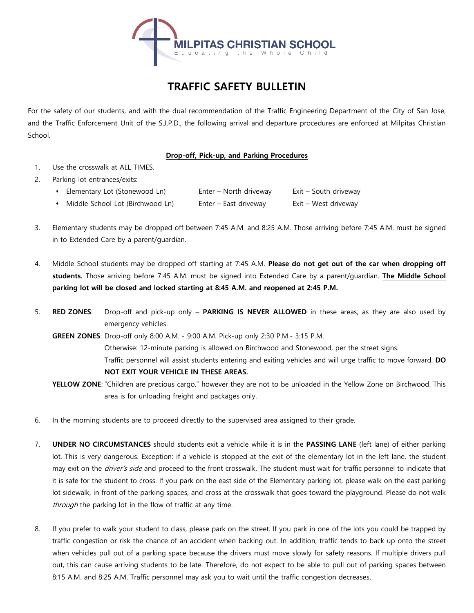

## **TRAFFIC SAFETY BULLETIN**

For the safety of our students, and with the dual recommendation of the Traffic Engineering Department of the City of San Jose, and the Traffic Enforcement Unit of the S.J.P.D., the following arrival and departure procedures are enforced at Milpitas Christian School.

## **Drop-off, Pick-up, and Parking Procedures**

- 1. Use the crosswalk at ALL TIMES.
- 2. Parking lot entrances/exits:
	- Elementary Lot (Stonewood Ln) Enter North driveway Exit South driveway
	- Middle School Lot (Birchwood Ln) Enter East driveway Exit West driveway
- 3. Elementary students may be dropped off between 7:45 A.M. and 8:25 A.M. Those arriving before 7:45 A.M. must be signed in to Extended Care by a parent/guardian.
- 4. Middle School students may be dropped off starting at 7:45 A.M. **Please do not get out of the car when dropping off students.** Those arriving before 7:45 A.M. must be signed into Extended Care by a parent/guardian. **The Middle School parking lot will be closed and locked starting at 8:45 A.M. and reopened at 2:45 P.M.**
- 5. **RED ZONES**: Drop-off and pick-up only **PARKING IS NEVER ALLOWED** in these areas, as they are also used by emergency vehicles.
	- **GREEN ZONES**: Drop-off only 8:00 A.M. 9:00 A.M. Pick-up only 2:30 P.M.- 3:15 P.M. Otherwise: 12-minute parking is allowed on Birchwood and Stonewood, per the street signs. Traffic personnel will assist students entering and exiting vehicles and will urge traffic to move forward. **DO NOT EXIT YOUR VEHICLE IN THESE AREAS.**
	- **YELLOW ZONE**: "Children are precious cargo," however they are not to be unloaded in the Yellow Zone on Birchwood. This area is for unloading freight and packages only.
- 6. In the morning students are to proceed directly to the supervised area assigned to their grade.
- 7. **UNDER NO CIRCUMSTANCES** should students exit a vehicle while it is in the **PASSING LANE** (left lane) of either parking lot. This is very dangerous. Exception: if a vehicle is stopped at the exit of the elementary lot in the left lane, the student may exit on the driver's side and proceed to the front crosswalk. The student must wait for traffic personnel to indicate that it is safe for the student to cross. If you park on the east side of the Elementary parking lot, please walk on the east parking lot sidewalk, in front of the parking spaces, and cross at the crosswalk that goes toward the playground. Please do not walk through the parking lot in the flow of traffic at any time.
- 8. If you prefer to walk your student to class, please park on the street. If you park in one of the lots you could be trapped by traffic congestion or risk the chance of an accident when backing out. In addition, traffic tends to back up onto the street when vehicles pull out of a parking space because the drivers must move slowly for safety reasons. If multiple drivers pull out, this can cause arriving students to be late. Therefore, do not expect to be able to pull out of parking spaces between 8:15 A.M. and 8:25 A.M. Traffic personnel may ask you to wait until the traffic congestion decreases.